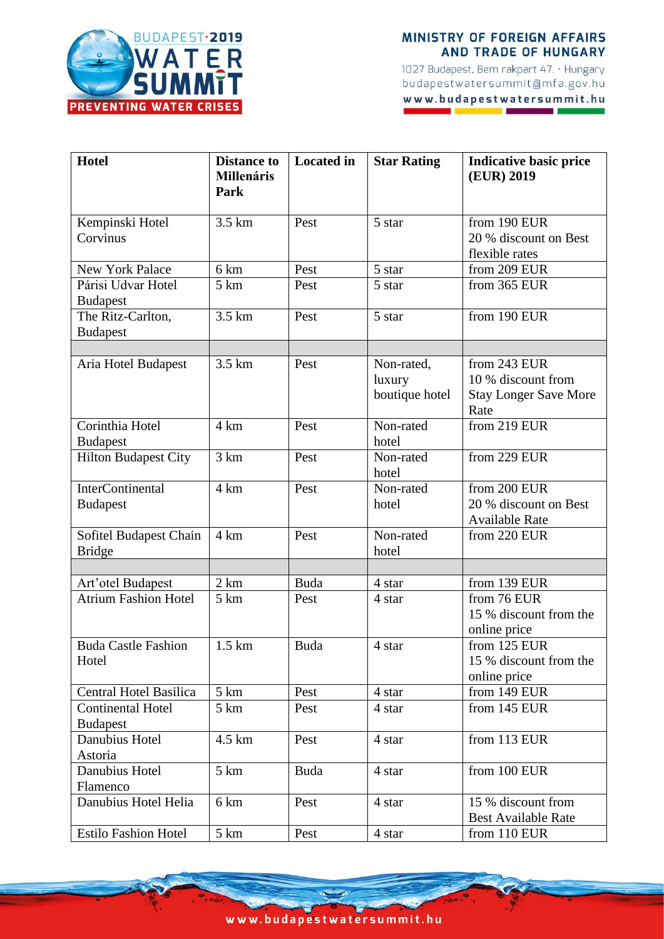

## **MINISTRY OF FOREIGN AFFAIRS AND TRADE OF HUNGARY**

1027 Budapest, Bem rakpart 47. · Hungary budapestwatersummit@mfa.gov.hu www.budapestwatersummit.hu

| <b>Hotel</b>                                     | <b>Distance to</b><br><b>Millenáris</b> | <b>Located</b> in | <b>Star Rating</b> | <b>Indicative basic price</b><br>(EUR) 2019 |
|--------------------------------------------------|-----------------------------------------|-------------------|--------------------|---------------------------------------------|
|                                                  | Park                                    |                   |                    |                                             |
| Kempinski Hotel                                  | 3.5 km                                  | Pest              | 5 star             | from 190 EUR                                |
| Corvinus                                         |                                         |                   |                    | 20 % discount on Best                       |
|                                                  |                                         |                   |                    | flexible rates                              |
| <b>New York Palace</b>                           | 6 km                                    | Pest              | 5 star             | from 209 EUR                                |
| Párisi Udvar Hotel                               | 5 km                                    | Pest              | 5 star             | from 365 EUR                                |
| <b>Budapest</b>                                  |                                         |                   |                    |                                             |
| The Ritz-Carlton,                                | 3.5 km                                  | Pest              | 5 star             | from 190 EUR                                |
| <b>Budapest</b>                                  |                                         |                   |                    |                                             |
|                                                  | 3.5 km                                  | Pest              | Non-rated,         | from 243 EUR                                |
| Aria Hotel Budapest                              |                                         |                   | luxury             | 10 % discount from                          |
|                                                  |                                         |                   | boutique hotel     | <b>Stay Longer Save More</b>                |
|                                                  |                                         |                   |                    | Rate                                        |
| Corinthia Hotel                                  | 4 km                                    | Pest              | Non-rated          | from 219 EUR                                |
| <b>Budapest</b>                                  |                                         |                   | hotel              |                                             |
| <b>Hilton Budapest City</b>                      | 3 km                                    | Pest              | Non-rated          | from 229 EUR                                |
|                                                  |                                         |                   | hotel              |                                             |
| <b>InterContinental</b>                          | 4 km                                    | Pest              | Non-rated          | from 200 EUR                                |
| <b>Budapest</b>                                  |                                         |                   | hotel              | 20 % discount on Best                       |
|                                                  |                                         |                   |                    | <b>Available Rate</b>                       |
| Sofitel Budapest Chain                           | $4 \text{ km}$                          | Pest              | Non-rated          | from 220 EUR                                |
| <b>Bridge</b>                                    |                                         |                   | hotel              |                                             |
|                                                  | 2 km                                    | Buda              | 4 star             | from 139 EUR                                |
| Art'otel Budapest<br><b>Atrium Fashion Hotel</b> | 5 km                                    | Pest              | 4 star             | from 76 EUR                                 |
|                                                  |                                         |                   |                    | 15 % discount from the                      |
|                                                  |                                         |                   |                    | online price                                |
| <b>Buda Castle Fashion</b>                       | $1.5 \mathrm{km}$                       | Buda              | 4 star             | from 125 EUR                                |
| Hotel                                            |                                         |                   |                    | 15 % discount from the                      |
|                                                  |                                         |                   |                    | online price                                |
| Central Hotel Basilica                           | $5 \mathrm{km}$                         | Pest              | 4 star             | from 149 EUR                                |
| <b>Continental Hotel</b>                         | 5 km                                    | Pest              | 4 star             | from 145 EUR                                |
| <b>Budapest</b>                                  |                                         |                   |                    |                                             |
| Danubius Hotel                                   | 4.5 km                                  | Pest              | 4 star             | from 113 EUR                                |
| Astoria                                          |                                         |                   |                    |                                             |
| Danubius Hotel                                   | $5 \mathrm{km}$                         | Buda              | 4 star             | from 100 EUR                                |
| Flamenco                                         |                                         |                   |                    |                                             |
| Danubius Hotel Helia                             | 6 km                                    | Pest              | 4 star             | 15 % discount from                          |
| <b>Estilo Fashion Hotel</b>                      | $5 \mathrm{km}$                         | Pest              | 4 star             | <b>Best Available Rate</b>                  |
|                                                  |                                         |                   |                    | from 110 EUR                                |

www.budapestwatersummit.hu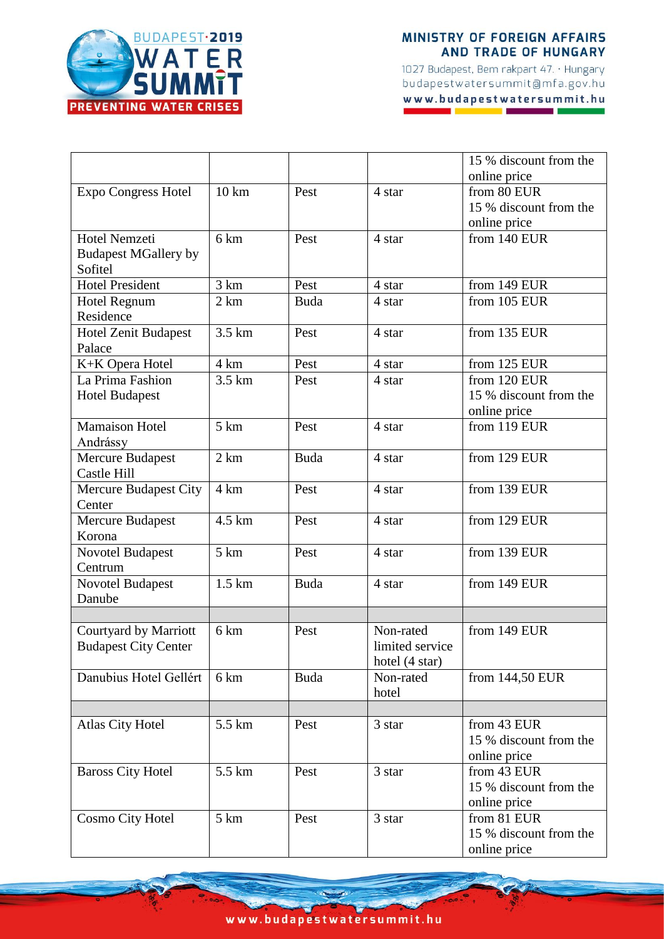

## **MINISTRY OF FOREIGN AFFAIRS AND TRADE OF HUNGARY**

1027 Budapest, Bem rakpart 47. · Hungary budapestwatersummit@mfa.gov.hu www.budapestwatersummit.hu

|                              |                   |             |                 | 15 % discount from the |
|------------------------------|-------------------|-------------|-----------------|------------------------|
|                              |                   |             |                 | online price           |
| <b>Expo Congress Hotel</b>   | $10 \text{ km}$   | Pest        | 4 star          | from 80 EUR            |
|                              |                   |             |                 | 15 % discount from the |
|                              |                   |             |                 | online price           |
| <b>Hotel Nemzeti</b>         | 6 km              | Pest        | 4 star          | from 140 EUR           |
| <b>Budapest MGallery by</b>  |                   |             |                 |                        |
| Sofitel                      |                   |             |                 |                        |
| Hotel President              | 3 km              | Pest        | 4 star          | from 149 EUR           |
| Hotel Regnum                 | 2 km              | <b>Buda</b> | 4 star          | from 105 EUR           |
| Residence                    |                   |             |                 |                        |
| <b>Hotel Zenit Budapest</b>  | $3.5 \mathrm{km}$ | Pest        | 4 star          | from 135 EUR           |
| Palace                       |                   |             |                 |                        |
| K+K Opera Hotel              | 4 km              | Pest        | 4 star          | from 125 EUR           |
| La Prima Fashion             | 3.5 km            | Pest        | 4 star          | from 120 EUR           |
| <b>Hotel Budapest</b>        |                   |             |                 | 15 % discount from the |
|                              |                   |             |                 | online price           |
| <b>Mamaison Hotel</b>        | $5 \mathrm{km}$   | Pest        | 4 star          | from 119 EUR           |
| Andrássy                     |                   |             |                 |                        |
| <b>Mercure Budapest</b>      | 2 km              | <b>Buda</b> | 4 star          | from 129 EUR           |
| Castle Hill                  |                   |             |                 |                        |
| <b>Mercure Budapest City</b> | 4 km              | Pest        | 4 star          | from 139 EUR           |
| Center                       |                   |             |                 |                        |
| <b>Mercure Budapest</b>      | 4.5 km            | Pest        | 4 star          | from 129 EUR           |
| Korona                       |                   |             |                 |                        |
| <b>Novotel Budapest</b>      | 5 km              | Pest        | 4 star          | from 139 EUR           |
| Centrum                      | $1.5 \mathrm{km}$ | Buda        | 4 star          | from 149 EUR           |
| Novotel Budapest<br>Danube   |                   |             |                 |                        |
|                              |                   |             |                 |                        |
| Courtyard by Marriott        | 6 km              | Pest        | Non-rated       | from 149 EUR           |
| <b>Budapest City Center</b>  |                   |             | limited service |                        |
|                              |                   |             | hotel (4 star)  |                        |
| Danubius Hotel Gellért       | 6 km              | Buda        | Non-rated       | from 144,50 EUR        |
|                              |                   |             | hotel           |                        |
|                              |                   |             |                 |                        |
| <b>Atlas City Hotel</b>      | 5.5 km            | Pest        | 3 star          | from 43 EUR            |
|                              |                   |             |                 | 15 % discount from the |
|                              |                   |             |                 | online price           |
| <b>Baross City Hotel</b>     | 5.5 km            | Pest        | 3 star          | from 43 EUR            |
|                              |                   |             |                 | 15 % discount from the |
|                              |                   |             |                 | online price           |
| <b>Cosmo City Hotel</b>      | 5 km              | Pest        | 3 star          | from 81 EUR            |
|                              |                   |             |                 | 15 % discount from the |
|                              |                   |             |                 | online price           |

www.budapestwatersummit.hu